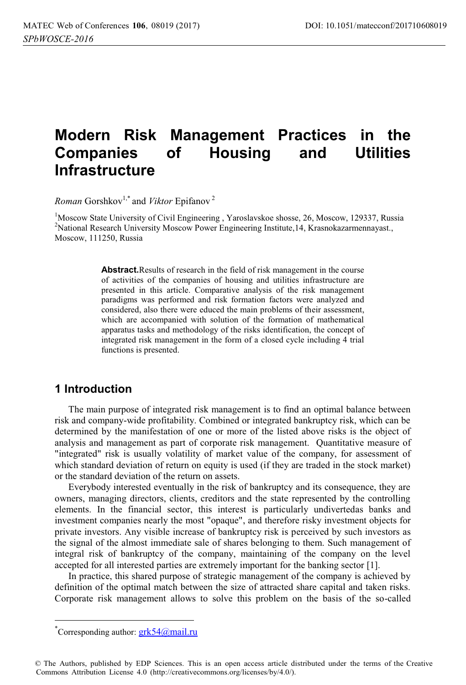# **Modern Risk Management Practices in the Companies of Housing and Utilities Infrastructure**

*Roman* Gorshkov<sup>1,\*</sup> and *Viktor* Epifanov<sup>2</sup>

<sup>1</sup>Moscow State University of Civil Engineering, Yaroslavskoe shosse, 26, Moscow, 129337, Russia<br><sup>2</sup>National Research University Moscow Power Engineering Institute 14, Krasnokazarmennavast <sup>2</sup>National Research University Moscow Power Engineering Institute, 14, Krasnokazarmennayast., Moscow, 111250, Russia

> **Abstract.**Results of research in the field of risk management in the course of activities of the companies of housing and utilities infrastructure are presented in this article. Comparative analysis of the risk management paradigms was performed and risk formation factors were analyzed and considered, also there were educed the main problems of their assessment, which are accompanied with solution of the formation of mathematical apparatus tasks and methodology of the risks identification, the concept of integrated risk management in the form of a closed cycle including 4 trial functions is presented.

## **1 Introduction**

The main purpose of integrated risk management is to find an optimal balance between risk and company-wide profitability. Combined or integrated bankruptcy risk, which can be determined by the manifestation of one or more of the listed above risks is the object of analysis and management as part of corporate risk management. Quantitative measure of "integrated" risk is usually volatility of market value of the company, for assessment of which standard deviation of return on equity is used (if they are traded in the stock market) or the standard deviation of the return on assets.

Everybody interested eventually in the risk of bankruptcy and its consequence, they are owners, managing directors, clients, creditors and the state represented by the controlling elements. In the financial sector, this interest is particularly undivertedas banks and investment companies nearly the most "opaque", and therefore risky investment objects for private investors. Any visible increase of bankruptcy risk is perceived by such investors as the signal of the almost immediate sale of shares belonging to them. Such management of integral risk of bankruptcy of the company, maintaining of the company on the level accepted for all interested parties are extremely important for the banking sector [1].

In practice, this shared purpose of strategic management of the company is achieved by definition of the optimal match between the size of attracted share capital and taken risks. Corporate risk management allows to solve this problem on the basis of the so-called

 $\overline{a}$ 

<sup>\*</sup>Corresponding author: **grk54@mail.ru** 

<sup>©</sup> The Authors, published by EDP Sciences. This is an open access article distributed under the terms of the Creative Commons Attribution License 4.0 (http://creativecommons.org/licenses/by/4.0/).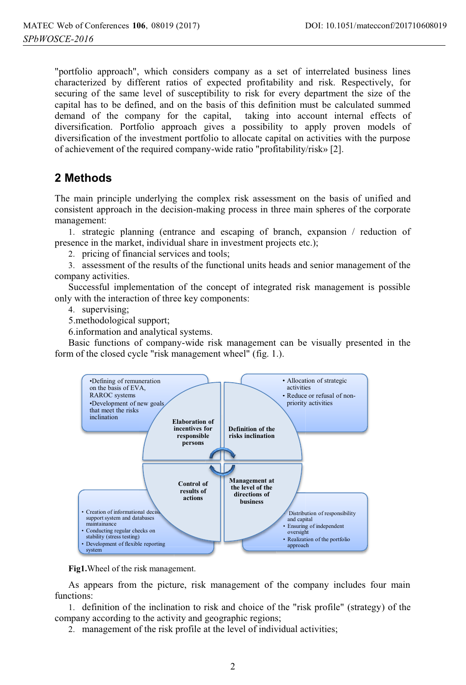"portfolio approach", which considers company as a set of interrelated business lines characterized by different ratios of expected profitability and risk. Respectively, for securing of the same level of susceptibility to risk for every department the size of the capital has to be defined, and on the basis of this definition must be calculated summed demand of the company for the capital, taking into account internal effects of diversification. Portfolio approach gives a possibility to apply proven models of diversification of the investment portfolio to allocate capital on activities with the purpose of achievement of the required company-wide ratio "profitability/risk» [2].

# **2 Methods**

The main principle underlying the complex risk assessment on the basis of unified and consistent approach in the decision-making process in three main spheres of the corporate management:

1. strategic planning (entrance and escaping of branch, expansion / reduction of presence in the market, individual share in investment projects etc.);

2. pricing of financial services and tools;

3. assessment of the results of the functional units heads and senior management of the company activities.

Successful implementation of the concept of integrated risk management is possible only with the interaction of three key components:

4. supervising;

5.methodological support;

6.information and analytical systems.

Basic functions of company-wide risk management can be visually presented in the form of the closed cycle "risk management wheel" (fig. 1.).



**Fig1.**Wheel of the risk management.

As appears from the picture, risk management of the company includes four main functions:

1. definition of the inclination to risk and choice of the "risk profile" (strategy) of the company according to the activity and geographic regions;

2. management of the risk profile at the level of individual activities;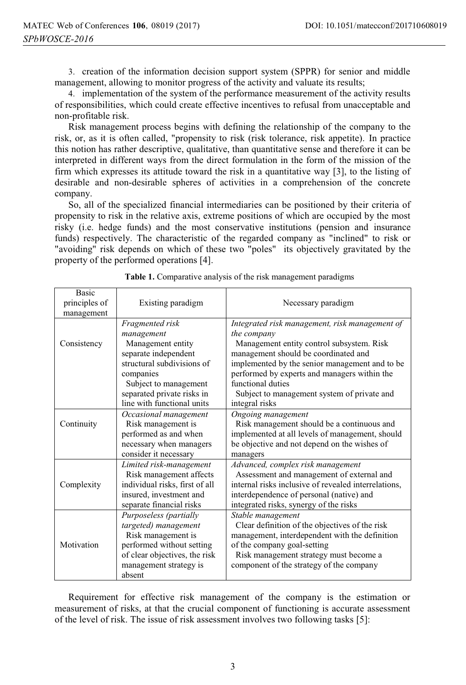3. creation of the information decision support system (SPPR) for senior and middle management, allowing to monitor progress of the activity and valuate its results;

4. implementation of the system of the performance measurement of the activity results of responsibilities, which could create effective incentives to refusal from unacceptable and non-profitable risk.

Risk management process begins with defining the relationship of the company to the risk, or, as it is often called, "propensity to risk (risk tolerance, risk appetite). In practice this notion has rather descriptive, qualitative, than quantitative sense and therefore it can be interpreted in different ways from the direct formulation in the form of the mission of the firm which expresses its attitude toward the risk in a quantitative way [3], to the listing of desirable and non-desirable spheres of activities in a comprehension of the concrete company.

So, all of the specialized financial intermediaries can be positioned by their criteria of propensity to risk in the relative axis, extreme positions of which are occupied by the most risky (i.e. hedge funds) and the most conservative institutions (pension and insurance funds) respectively. The characteristic of the regarded company as "inclined" to risk or "avoiding" risk depends on which of these two "poles" its objectively gravitated by the property of the performed operations [4].

| <b>Basic</b><br>principles of<br>management | Existing paradigm              | Necessary paradigm                                   |
|---------------------------------------------|--------------------------------|------------------------------------------------------|
|                                             | Fragmented risk                | Integrated risk management, risk management of       |
|                                             | management                     | the company                                          |
| Consistency                                 | Management entity              | Management entity control subsystem. Risk            |
|                                             | separate independent           | management should be coordinated and                 |
|                                             | structural subdivisions of     | implemented by the senior management and to be       |
|                                             | companies                      | performed by experts and managers within the         |
|                                             | Subject to management          | functional duties                                    |
|                                             | separated private risks in     | Subject to management system of private and          |
|                                             | line with functional units     | integral risks                                       |
|                                             | Occasional management          | Ongoing management                                   |
| Continuity                                  | Risk management is             | Risk management should be a continuous and           |
|                                             | performed as and when          | implemented at all levels of management, should      |
|                                             | necessary when managers        | be objective and not depend on the wishes of         |
|                                             | consider it necessary          | managers                                             |
|                                             | Limited risk-management        | Advanced, complex risk management                    |
| Complexity                                  | Risk management affects        | Assessment and management of external and            |
|                                             | individual risks, first of all | internal risks inclusive of revealed interrelations, |
|                                             | insured, investment and        | interdependence of personal (native) and             |
|                                             | separate financial risks       | integrated risks, synergy of the risks               |
| Motivation                                  | Purposeless (partially         | Stable management                                    |
|                                             | targeted) management           | Clear definition of the objectives of the risk       |
|                                             | Risk management is             | management, interdependent with the definition       |
|                                             | performed without setting      | of the company goal-setting                          |
|                                             | of clear objectives, the risk  | Risk management strategy must become a               |
|                                             | management strategy is         | component of the strategy of the company             |
|                                             | absent                         |                                                      |

**Table 1.** Comparative analysis of the risk management paradigms

Requirement for effective risk management of the company is the estimation or measurement of risks, at that the crucial component of functioning is accurate assessment of the level of risk. The issue of risk assessment involves two following tasks [5]: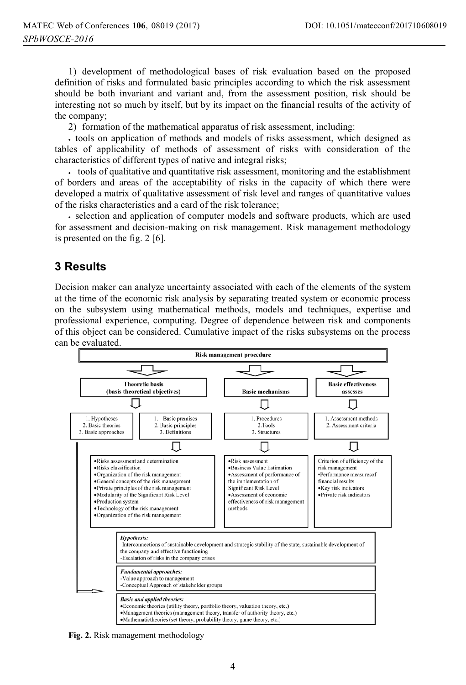1) development of methodological bases of risk evaluation based on the proposed definition of risks and formulated basic principles according to which the risk assessment should be both invariant and variant and, from the assessment position, risk should be interesting not so much by itself, but by its impact on the financial results of the activity of the company;

2) formation of the mathematical apparatus of risk assessment, including:

- tools on application of methods and models of risks assessment, which designed as tables of applicability of methods of assessment of risks with consideration of the characteristics of different types of native and integral risks;

- tools of qualitative and quantitative risk assessment, monitoring and the establishment of borders and areas of the acceptability of risks in the capacity of which there were developed a matrix of qualitative assessment of risk level and ranges of quantitative values of the risks characteristics and a card of the risk tolerance;

- selection and application of computer models and software products, which are used for assessment and decision-making on risk management. Risk management methodology is presented on the fig. 2 [6].

#### **3 Results**

Decision maker can analyze uncertainty associated with each of the elements of the system at the time of the economic risk analysis by separating treated system or economic process on the subsystem using mathematical methods, models and techniques, expertise and professional experience, computing. Degree of dependence between risk and components of this object can be considered. Cumulative impact of the risks subsystems on the process can be evaluated.



**Fig. 2.** Risk management methodology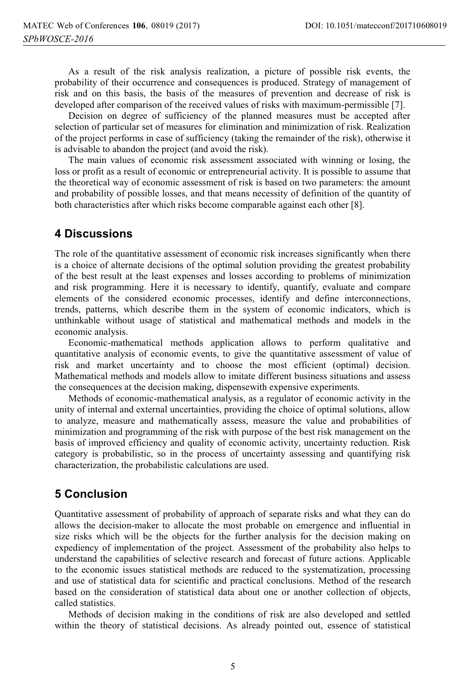As a result of the risk analysis realization, a picture of possible risk events, the probability of their occurrence and consequences is produced. Strategy of management of risk and on this basis, the basis of the measures of prevention and decrease of risk is developed after comparison of the received values of risks with maximum-permissible [7].

Decision on degree of sufficiency of the planned measures must be accepted after selection of particular set of measures for elimination and minimization of risk. Realization of the project performs in case of sufficiency (taking the remainder of the risk), otherwise it is advisable to abandon the project (and avoid the risk).

The main values of economic risk assessment associated with winning or losing, the loss or profit as a result of economic or entrepreneurial activity. It is possible to assume that the theoretical way of economic assessment of risk is based on two parameters: the amount and probability of possible losses, and that means necessity of definition of the quantity of both characteristics after which risks become comparable against each other [8].

## **4 Discussions**

The role of the quantitative assessment of economic risk increases significantly when there is a choice of alternate decisions of the optimal solution providing the greatest probability of the best result at the least expenses and losses according to problems of minimization and risk programming. Here it is necessary to identify, quantify, evaluate and compare elements of the considered economic processes, identify and define interconnections, trends, patterns, which describe them in the system of economic indicators, which is unthinkable without usage of statistical and mathematical methods and models in the economic analysis.

Economic-mathematical methods application allows to perform qualitative and quantitative analysis of economic events, to give the quantitative assessment of value of risk and market uncertainty and to choose the most efficient (optimal) decision. Mathematical methods and models allow to imitate different business situations and assess the consequences at the decision making, dispensewith expensive experiments.

Methods of economic-mathematical analysis, as a regulator of economic activity in the unity of internal and external uncertainties, providing the choice of optimal solutions, allow to analyze, measure and mathematically assess, measure the value and probabilities of minimization and programming of the risk with purpose of the best risk management on the basis of improved efficiency and quality of economic activity, uncertainty reduction. Risk category is probabilistic, so in the process of uncertainty assessing and quantifying risk characterization, the probabilistic calculations are used.

# **5 Conclusion**

Quantitative assessment of probability of approach of separate risks and what they can do allows the decision-maker to allocate the most probable on emergence and influential in size risks which will be the objects for the further analysis for the decision making on expediency of implementation of the project. Assessment of the probability also helps to understand the capabilities of selective research and forecast of future actions. Applicable to the economic issues statistical methods are reduced to the systematization, processing and use of statistical data for scientific and practical conclusions. Method of the research based on the consideration of statistical data about one or another collection of objects, called statistics.

Methods of decision making in the conditions of risk are also developed and settled within the theory of statistical decisions. As already pointed out, essence of statistical